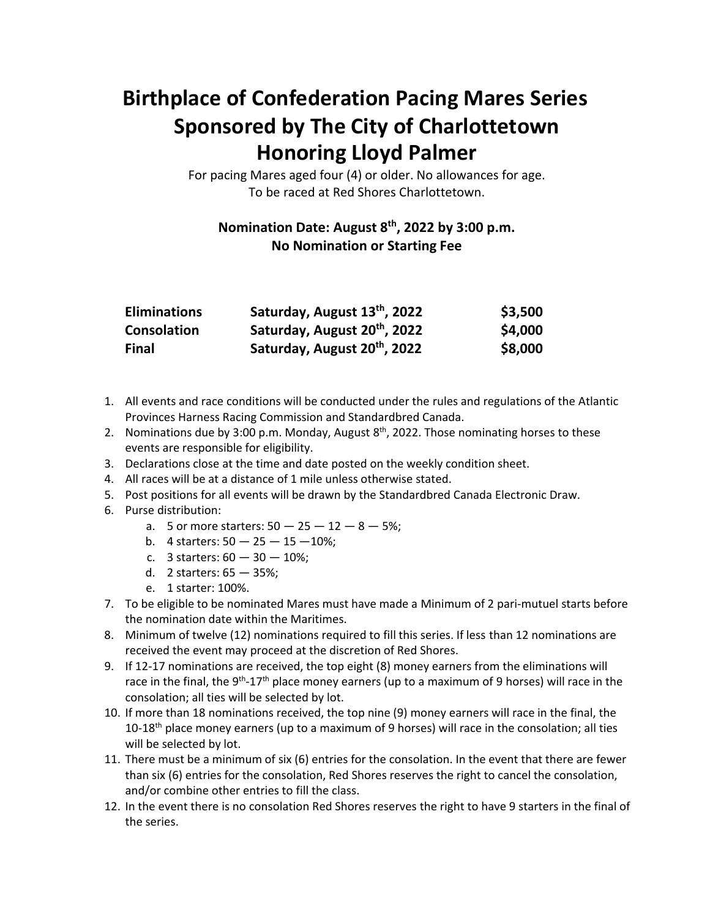## **Birthplace of Confederation Pacing Mares Series Sponsored by The City of Charlottetown Honoring Lloyd Palmer**

For pacing Mares aged four (4) or older. No allowances for age. To be raced at Red Shores Charlottetown.

## **Nomination Date: August 8 th, 2022 by 3:00 p.m. No Nomination or Starting Fee**

| <b>Eliminations</b> | Saturday, August 13th, 2022              | \$3,500 |
|---------------------|------------------------------------------|---------|
| Consolation         | Saturday, August 20 <sup>th</sup> , 2022 | \$4,000 |
| <b>Final</b>        | Saturday, August 20 <sup>th</sup> , 2022 | \$8,000 |

- 1. All events and race conditions will be conducted under the rules and regulations of the Atlantic Provinces Harness Racing Commission and Standardbred Canada.
- 2. Nominations due by 3:00 p.m. Monday, August  $8<sup>th</sup>$ , 2022. Those nominating horses to these events are responsible for eligibility.
- 3. Declarations close at the time and date posted on the weekly condition sheet.
- 4. All races will be at a distance of 1 mile unless otherwise stated.
- 5. Post positions for all events will be drawn by the Standardbred Canada Electronic Draw.
- 6. Purse distribution:
	- a. 5 or more starters:  $50 25 12 8 5\%$ ;
	- b. 4 starters:  $50 25 15 10\%$ ;
	- c. 3 starters: 60 30 10%;
	- d. 2 starters: 65 35%;
	- e. 1 starter: 100%.
- 7. To be eligible to be nominated Mares must have made a Minimum of 2 pari-mutuel starts before the nomination date within the Maritimes.
- 8. Minimum of twelve (12) nominations required to fill this series. If less than 12 nominations are received the event may proceed at the discretion of Red Shores.
- 9. If 12-17 nominations are received, the top eight (8) money earners from the eliminations will race in the final, the 9<sup>th</sup>-17<sup>th</sup> place money earners (up to a maximum of 9 horses) will race in the consolation; all ties will be selected by lot.
- 10. If more than 18 nominations received, the top nine (9) money earners will race in the final, the 10-18<sup>th</sup> place money earners (up to a maximum of 9 horses) will race in the consolation; all ties will be selected by lot.
- 11. There must be a minimum of six (6) entries for the consolation. In the event that there are fewer than six (6) entries for the consolation, Red Shores reserves the right to cancel the consolation, and/or combine other entries to fill the class.
- 12. In the event there is no consolation Red Shores reserves the right to have 9 starters in the final of the series.